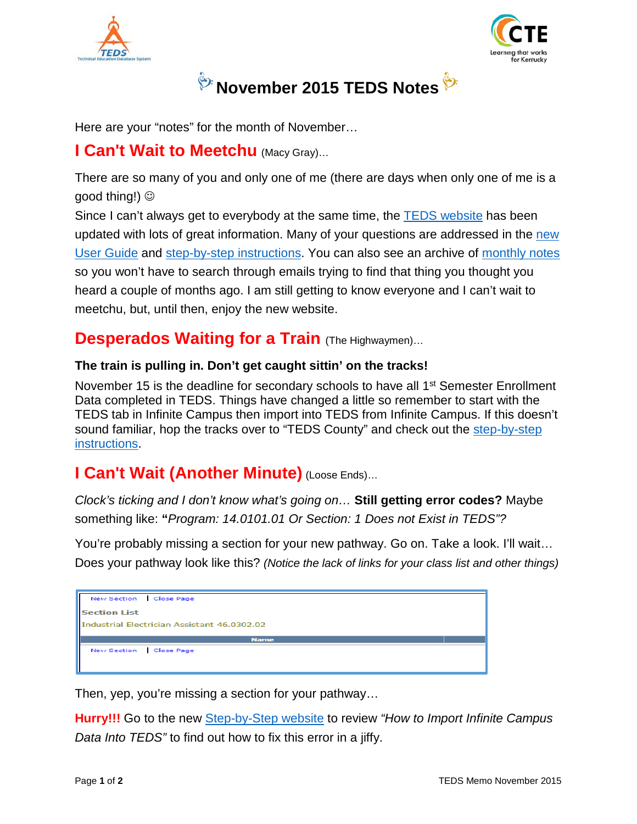



# **November 2015 TEDS Notes**

Here are your "notes" for the month of November…

### **I Can't Wait to Meetchu (Macy Gray)...**

There are so many of you and only one of me (there are days when only one of me is a good thing!)

Since I can't always get to everybody at the same time, the **TEDS** website has been updated with lots of great information. Many of your questions are addressed in the new [User Guide](http://education.ky.gov/CTE/teds/Documents/TEDS_User_Guide.pdf) and [step-by-step instructions.](http://education.ky.gov/CTE/teds/Pages/TEDSStepbyStep.aspx) You can also see an archive of [monthly notes](http://education.ky.gov/CTE/teds/Pages/TEDSMM.aspx) so you won't have to search through emails trying to find that thing you thought you heard a couple of months ago. I am still getting to know everyone and I can't wait to meetchu, but, until then, enjoy the new website.

# **Desperados Waiting for a Train** (The Highwaymen)...

#### **The train is pulling in. Don't get caught sittin' on the tracks!**

November 15 is the deadline for secondary schools to have all 1<sup>st</sup> Semester Enrollment Data completed in TEDS. Things have changed a little so remember to start with the TEDS tab in Infinite Campus then import into TEDS from Infinite Campus. If this doesn't sound familiar, hop the tracks over to "TEDS County" and check out the [step-by-step](http://education.ky.gov/CTE/teds/Pages/TEDSStepbyStep.aspx)  [instructions.](http://education.ky.gov/CTE/teds/Pages/TEDSStepbyStep.aspx)

# **I Can't Wait (Another Minute)** (Loose Ends)…

*Clock's ticking and I don't know what's going on…* **Still getting error codes?** Maybe something like: **"***Program: 14.0101.01 Or Section: 1 Does not Exist in TEDS"?*

You're probably missing a section for your new pathway. Go on. Take a look. I'll wait… Does your pathway look like this? *(Notice the lack of links for your class list and other things)*



Then, yep, you're missing a section for your pathway…

**Hurry!!!** Go to the new [Step-by-Step](http://education.ky.gov/CTE/teds/Pages/TEDSStepbyStep.aspx) website to review *"How to Import Infinite Campus Data Into TEDS"* to find out how to fix this error in a jiffy.